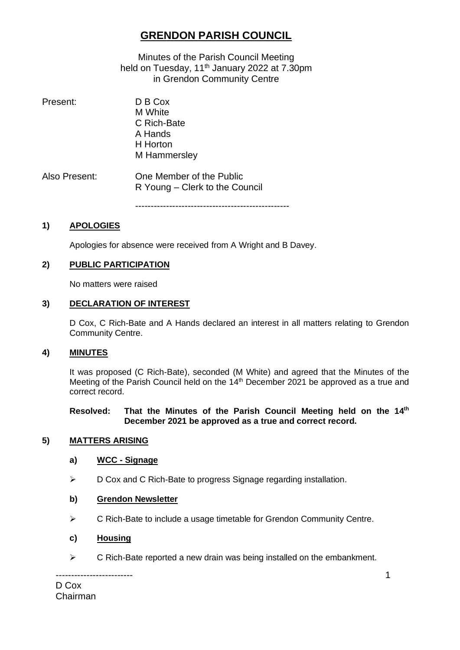# **GRENDON PARISH COUNCIL**

Minutes of the Parish Council Meeting held on Tuesday, 11<sup>th</sup> January 2022 at 7.30pm in Grendon Community Centre

| Present:      | D B Cox<br>M White<br>C Rich-Bate<br>A Hands<br>H Horton<br>M Hammersley |
|---------------|--------------------------------------------------------------------------|
| Also Present: | One Member of the Public<br>R Young – Clerk to the Council               |

--------------------------------------------------

#### **1) APOLOGIES**

Apologies for absence were received from A Wright and B Davey.

#### **2) PUBLIC PARTICIPATION**

No matters were raised

#### **3) DECLARATION OF INTEREST**

D Cox, C Rich-Bate and A Hands declared an interest in all matters relating to Grendon Community Centre.

#### **4) MINUTES**

It was proposed (C Rich-Bate), seconded (M White) and agreed that the Minutes of the Meeting of the Parish Council held on the 14<sup>th</sup> December 2021 be approved as a true and correct record.

#### **Resolved: That the Minutes of the Parish Council Meeting held on the 14th December 2021 be approved as a true and correct record.**

#### **5) MATTERS ARISING**

#### **a) WCC - Signage**

➢ D Cox and C Rich-Bate to progress Signage regarding installation.

#### **b) Grendon Newsletter**

- ➢ C Rich-Bate to include a usage timetable for Grendon Community Centre.
- **c) Housing**

-------------------------

➢ C Rich-Bate reported a new drain was being installed on the embankment.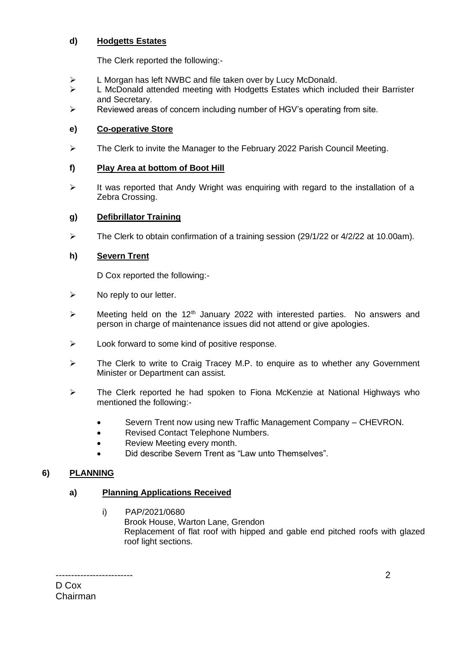# **d) Hodgetts Estates**

The Clerk reported the following:-

- ➢ L Morgan has left NWBC and file taken over by Lucy McDonald.
- ➢ L McDonald attended meeting with Hodgetts Estates which included their Barrister and Secretary.
- ➢ Reviewed areas of concern including number of HGV's operating from site.

# **e) Co-operative Store**

➢ The Clerk to invite the Manager to the February 2022 Parish Council Meeting.

# **f) Play Area at bottom of Boot Hill**

➢ It was reported that Andy Wright was enquiring with regard to the installation of a Zebra Crossing.

# **g) Defibrillator Training**

 $\triangleright$  The Clerk to obtain confirmation of a training session (29/1/22 or 4/2/22 at 10.00am).

# **h) Severn Trent**

D Cox reported the following:-

- $\triangleright$  No reply to our letter.
- $\triangleright$  Meeting held on the 12<sup>th</sup> January 2022 with interested parties. No answers and person in charge of maintenance issues did not attend or give apologies.
- ➢ Look forward to some kind of positive response.
- ➢ The Clerk to write to Craig Tracey M.P. to enquire as to whether any Government Minister or Department can assist.
- ➢ The Clerk reported he had spoken to Fiona McKenzie at National Highways who mentioned the following:-
	- Severn Trent now using new Traffic Management Company CHEVRON.
	- Revised Contact Telephone Numbers.
	- Review Meeting every month.
	- Did describe Severn Trent as "Law unto Themselves".

# **6) PLANNING**

# **a) Planning Applications Received**

i) PAP/2021/0680 Brook House, Warton Lane, Grendon Replacement of flat roof with hipped and gable end pitched roofs with glazed roof light sections.

------------------------- D Cox Chairman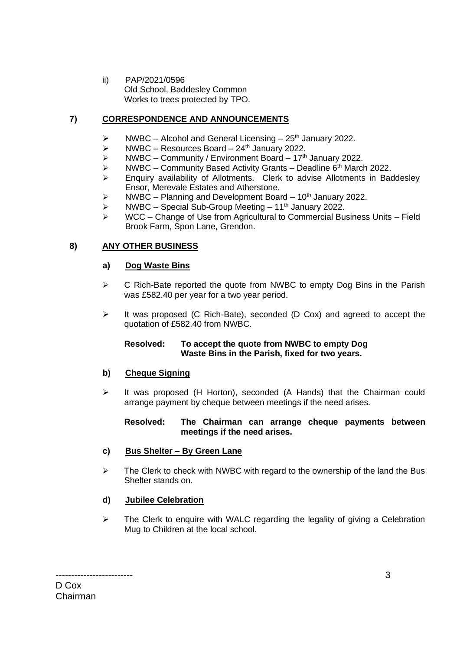ii) PAP/2021/0596 Old School, Baddesley Common Works to trees protected by TPO.

# **7) CORRESPONDENCE AND ANNOUNCEMENTS**

- $\triangleright$  NWBC Alcohol and General Licensing 25<sup>th</sup> January 2022.
- $\triangleright$  NWBC Resources Board 24<sup>th</sup> January 2022.<br>  $\triangleright$  NWBC Community / Fnyironment Board 17<sup>th</sup>
- NWBC Community / Environment Board  $17<sup>th</sup>$  January 2022.
- $\triangleright$  NWBC Community Based Activity Grants Deadline 6<sup>th</sup> March 2022.
- ➢ Enquiry availability of Allotments. Clerk to advise Allotments in Baddesley Ensor, Merevale Estates and Atherstone.
- $\triangleright$  NWBC Planning and Development Board 10<sup>th</sup> January 2022.
- ➢ NWBC Special Sub-Group Meeting 11 th January 2022.
- ➢ WCC Change of Use from Agricultural to Commercial Business Units Field Brook Farm, Spon Lane, Grendon.

### **8) ANY OTHER BUSINESS**

#### **a) Dog Waste Bins**

- $\triangleright$  C Rich-Bate reported the quote from NWBC to empty Dog Bins in the Parish was £582.40 per year for a two year period.
- ➢ It was proposed (C Rich-Bate), seconded (D Cox) and agreed to accept the quotation of £582.40 from NWBC.

#### **Resolved: To accept the quote from NWBC to empty Dog Waste Bins in the Parish, fixed for two years.**

#### **b) Cheque Signing**

➢ It was proposed (H Horton), seconded (A Hands) that the Chairman could arrange payment by cheque between meetings if the need arises.

### **Resolved: The Chairman can arrange cheque payments between meetings if the need arises.**

# **c) Bus Shelter – By Green Lane**

 $\triangleright$  The Clerk to check with NWBC with regard to the ownership of the land the Bus Shelter stands on.

#### **d) Jubilee Celebration**

 $\triangleright$  The Clerk to enquire with WALC regarding the legality of giving a Celebration Mug to Children at the local school.